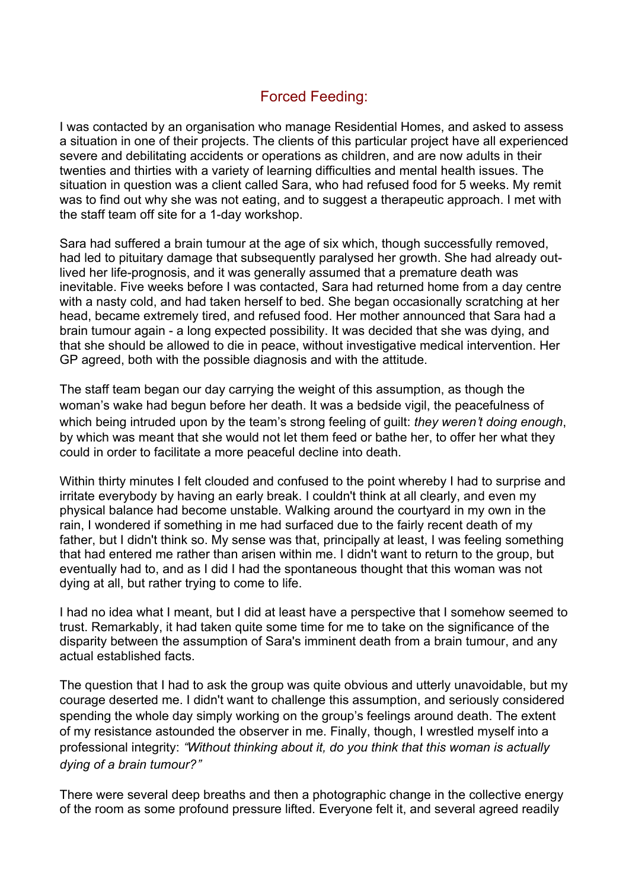## Forced Feeding:

I was contacted by an organisation who manage Residential Homes, and asked to assess a situation in one of their projects. The clients of this particular project have all experienced severe and debilitating accidents or operations as children, and are now adults in their twenties and thirties with a variety of learning difficulties and mental health issues. The situation in question was a client called Sara, who had refused food for 5 weeks. My remit was to find out why she was not eating, and to suggest a therapeutic approach. I met with the staff team off site for a 1-day workshop.

Sara had suffered a brain tumour at the age of six which, though successfully removed, had led to pituitary damage that subsequently paralysed her growth. She had already outlived her life-prognosis, and it was generally assumed that a premature death was inevitable. Five weeks before I was contacted, Sara had returned home from a day centre with a nasty cold, and had taken herself to bed. She began occasionally scratching at her head, became extremely tired, and refused food. Her mother announced that Sara had a brain tumour again - a long expected possibility. It was decided that she was dying, and that she should be allowed to die in peace, without investigative medical intervention. Her GP agreed, both with the possible diagnosis and with the attitude.

The staff team began our day carrying the weight of this assumption, as though the woman's wake had begun before her death. It was a bedside vigil, the peacefulness of which being intruded upon by the team's strong feeling of guilt: *they weren*'*t doing enough*, by which was meant that she would not let them feed or bathe her, to offer her what they could in order to facilitate a more peaceful decline into death.

Within thirty minutes I felt clouded and confused to the point whereby I had to surprise and irritate everybody by having an early break. I couldn't think at all clearly, and even my physical balance had become unstable. Walking around the courtyard in my own in the rain, I wondered if something in me had surfaced due to the fairly recent death of my father, but I didn't think so. My sense was that, principally at least, I was feeling something that had entered me rather than arisen within me. I didn't want to return to the group, but eventually had to, and as I did I had the spontaneous thought that this woman was not dying at all, but rather trying to come to life.

I had no idea what I meant, but I did at least have a perspective that I somehow seemed to trust. Remarkably, it had taken quite some time for me to take on the significance of the disparity between the assumption of Sara's imminent death from a brain tumour, and any actual established facts.

The question that I had to ask the group was quite obvious and utterly unavoidable, but my courage deserted me. I didn't want to challenge this assumption, and seriously considered spending the whole day simply working on the group's feelings around death. The extent of my resistance astounded the observer in me. Finally, though, I wrestled myself into a professional integrity: "*Without thinking about it, do you think that this woman is actually dying of a brain tumour?*"

There were several deep breaths and then a photographic change in the collective energy of the room as some profound pressure lifted. Everyone felt it, and several agreed readily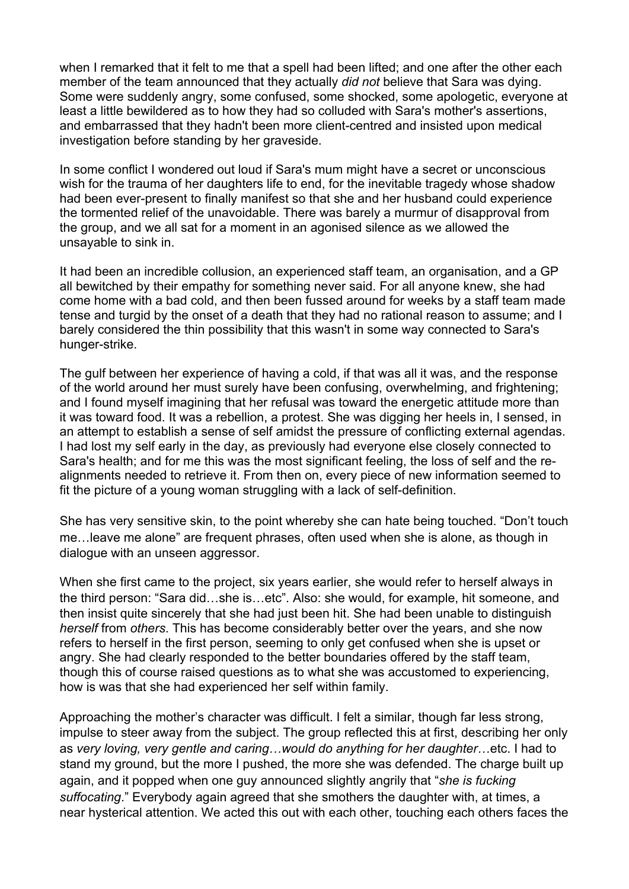when I remarked that it felt to me that a spell had been lifted; and one after the other each member of the team announced that they actually *did not* believe that Sara was dying. Some were suddenly angry, some confused, some shocked, some apologetic, everyone at least a little bewildered as to how they had so colluded with Sara's mother's assertions, and embarrassed that they hadn't been more client-centred and insisted upon medical investigation before standing by her graveside.

In some conflict I wondered out loud if Sara's mum might have a secret or unconscious wish for the trauma of her daughters life to end, for the inevitable tragedy whose shadow had been ever-present to finally manifest so that she and her husband could experience the tormented relief of the unavoidable. There was barely a murmur of disapproval from the group, and we all sat for a moment in an agonised silence as we allowed the unsayable to sink in.

It had been an incredible collusion, an experienced staff team, an organisation, and a GP all bewitched by their empathy for something never said. For all anyone knew, she had come home with a bad cold, and then been fussed around for weeks by a staff team made tense and turgid by the onset of a death that they had no rational reason to assume; and I barely considered the thin possibility that this wasn't in some way connected to Sara's hunger-strike.

The gulf between her experience of having a cold, if that was all it was, and the response of the world around her must surely have been confusing, overwhelming, and frightening; and I found myself imagining that her refusal was toward the energetic attitude more than it was toward food. It was a rebellion, a protest. She was digging her heels in, I sensed, in an attempt to establish a sense of self amidst the pressure of conflicting external agendas. I had lost my self early in the day, as previously had everyone else closely connected to Sara's health; and for me this was the most significant feeling, the loss of self and the realignments needed to retrieve it. From then on, every piece of new information seemed to fit the picture of a young woman struggling with a lack of self-definition.

She has very sensitive skin, to the point whereby she can hate being touched. "Don't touch me…leave me alone" are frequent phrases, often used when she is alone, as though in dialogue with an unseen aggressor.

When she first came to the project, six years earlier, she would refer to herself always in the third person: "Sara did…she is…etc". Also: she would, for example, hit someone, and then insist quite sincerely that she had just been hit. She had been unable to distinguish *herself* from *others*. This has become considerably better over the years, and she now refers to herself in the first person, seeming to only get confused when she is upset or angry. She had clearly responded to the better boundaries offered by the staff team, though this of course raised questions as to what she was accustomed to experiencing, how is was that she had experienced her self within family.

Approaching the mother's character was difficult. I felt a similar, though far less strong, impulse to steer away from the subject. The group reflected this at first, describing her only as *very loving, very gentle and caring*…*would do anything for her daughter*…etc. I had to stand my ground, but the more I pushed, the more she was defended. The charge built up again, and it popped when one guy announced slightly angrily that "*she is fucking suffocating*." Everybody again agreed that she smothers the daughter with, at times, a near hysterical attention. We acted this out with each other, touching each others faces the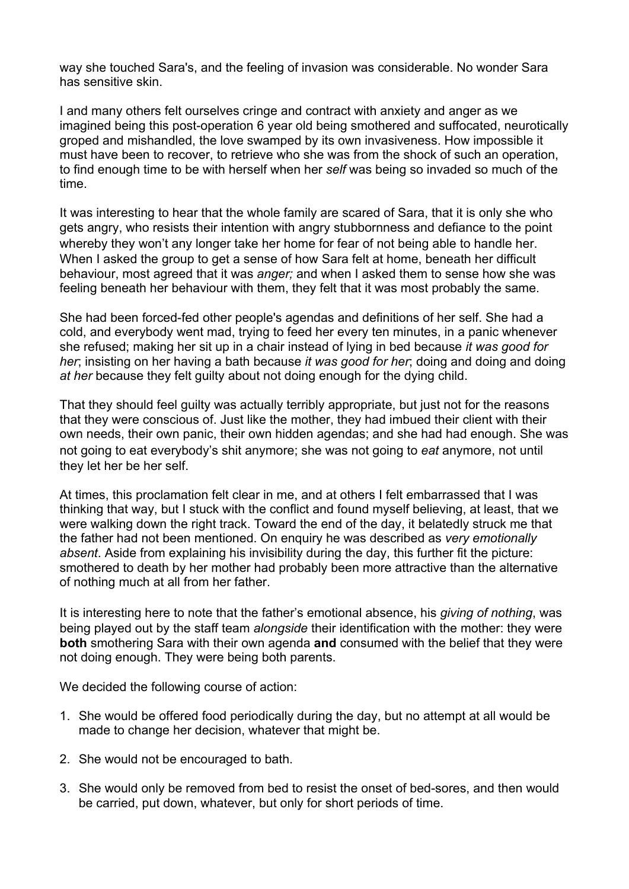way she touched Sara's, and the feeling of invasion was considerable. No wonder Sara has sensitive skin.

I and many others felt ourselves cringe and contract with anxiety and anger as we imagined being this post-operation 6 year old being smothered and suffocated, neurotically groped and mishandled, the love swamped by its own invasiveness. How impossible it must have been to recover, to retrieve who she was from the shock of such an operation, to find enough time to be with herself when her *self* was being so invaded so much of the time.

It was interesting to hear that the whole family are scared of Sara, that it is only she who gets angry, who resists their intention with angry stubbornness and defiance to the point whereby they won't any longer take her home for fear of not being able to handle her. When I asked the group to get a sense of how Sara felt at home, beneath her difficult behaviour, most agreed that it was *anger;* and when I asked them to sense how she was feeling beneath her behaviour with them, they felt that it was most probably the same.

She had been forced-fed other people's agendas and definitions of her self. She had a cold, and everybody went mad, trying to feed her every ten minutes, in a panic whenever she refused; making her sit up in a chair instead of lying in bed because *it was good for her*; insisting on her having a bath because *it was good for her*; doing and doing and doing *at her* because they felt guilty about not doing enough for the dying child.

That they should feel guilty was actually terribly appropriate, but just not for the reasons that they were conscious of. Just like the mother, they had imbued their client with their own needs, their own panic, their own hidden agendas; and she had had enough. She was not going to eat everybody's shit anymore; she was not going to *eat* anymore, not until they let her be her self.

At times, this proclamation felt clear in me, and at others I felt embarrassed that I was thinking that way, but I stuck with the conflict and found myself believing, at least, that we were walking down the right track. Toward the end of the day, it belatedly struck me that the father had not been mentioned. On enquiry he was described as *very emotionally absent*. Aside from explaining his invisibility during the day, this further fit the picture: smothered to death by her mother had probably been more attractive than the alternative of nothing much at all from her father.

It is interesting here to note that the father's emotional absence, his *giving of nothing*, was being played out by the staff team *alongside* their identification with the mother: they were **both** smothering Sara with their own agenda **and** consumed with the belief that they were not doing enough. They were being both parents.

We decided the following course of action:

- 1. She would be offered food periodically during the day, but no attempt at all would be made to change her decision, whatever that might be.
- 2. She would not be encouraged to bath.
- 3. She would only be removed from bed to resist the onset of bed-sores, and then would be carried, put down, whatever, but only for short periods of time.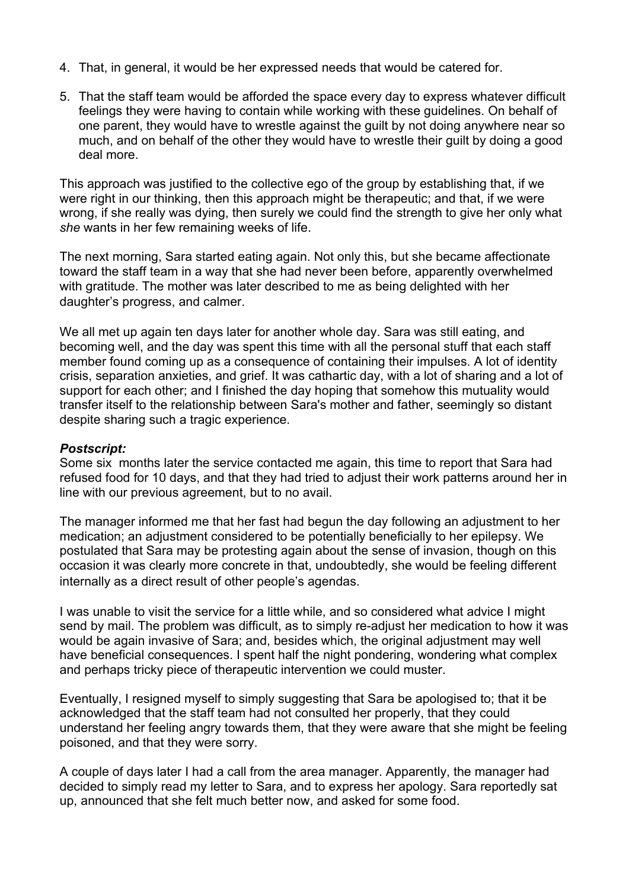- 4. That, in general, it would be her expressed needs that would be catered for.
- 5. That the staff team would be afforded the space every day to express whatever difficult feelings they were having to contain while working with these guidelines. On behalf of one parent, they would have to wrestle against the guilt by not doing anywhere near so much, and on behalf of the other they would have to wrestle their guilt by doing a good deal more.

This approach was justified to the collective ego of the group by establishing that, if we were right in our thinking, then this approach might be therapeutic; and that, if we were wrong, if she really was dying, then surely we could find the strength to give her only what *she* wants in her few remaining weeks of life.

The next morning, Sara started eating again. Not only this, but she became affectionate toward the staff team in a way that she had never been before, apparently overwhelmed with gratitude. The mother was later described to me as being delighted with her daughter's progress, and calmer.

We all met up again ten days later for another whole day. Sara was still eating, and becoming well, and the day was spent this time with all the personal stuff that each staff member found coming up as a consequence of containing their impulses. A lot of identity crisis, separation anxieties, and grief. It was cathartic day, with a lot of sharing and a lot of support for each other; and I finished the day hoping that somehow this mutuality would transfer itself to the relationship between Sara's mother and father, seemingly so distant despite sharing such a tragic experience.

## *Postscript:*

Some six months later the service contacted me again, this time to report that Sara had refused food for 10 days, and that they had tried to adjust their work patterns around her in line with our previous agreement, but to no avail.

The manager informed me that her fast had begun the day following an adjustment to her medication; an adjustment considered to be potentially beneficially to her epilepsy. We postulated that Sara may be protesting again about the sense of invasion, though on this occasion it was clearly more concrete in that, undoubtedly, she would be feeling different internally as a direct result of other people's agendas.

I was unable to visit the service for a little while, and so considered what advice I might send by mail. The problem was difficult, as to simply re-adjust her medication to how it was would be again invasive of Sara; and, besides which, the original adjustment may well have beneficial consequences. I spent half the night pondering, wondering what complex and perhaps tricky piece of therapeutic intervention we could muster.

Eventually, I resigned myself to simply suggesting that Sara be apologised to; that it be acknowledged that the staff team had not consulted her properly, that they could understand her feeling angry towards them, that they were aware that she might be feeling poisoned, and that they were sorry.

A couple of days later I had a call from the area manager. Apparently, the manager had decided to simply read my letter to Sara, and to express her apology. Sara reportedly sat up, announced that she felt much better now, and asked for some food.